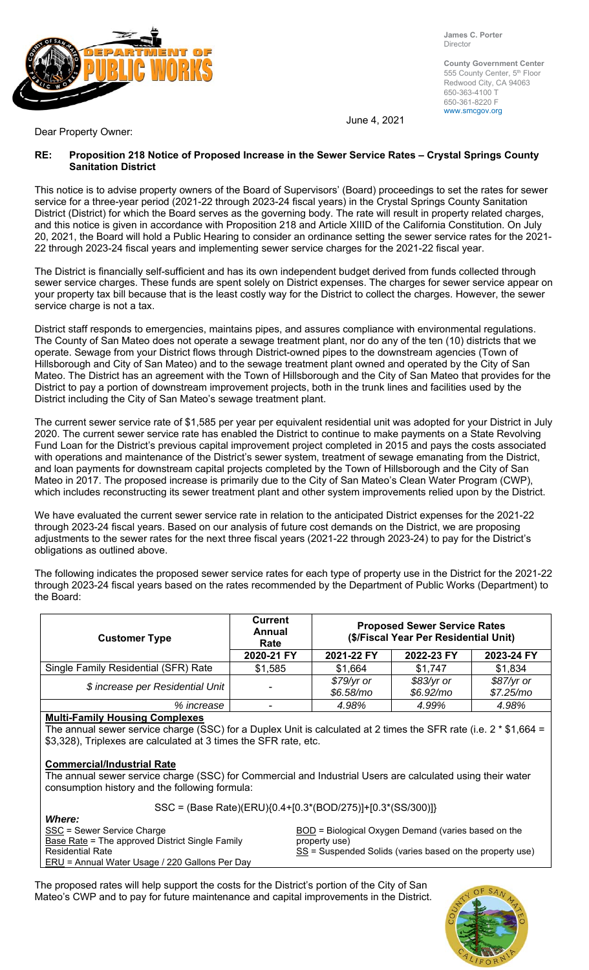

**James C. Porter**  Director

**County Government Center**  555 County Center, 5<sup>th</sup> Floor Redwood City, CA 94063 650-363-4100 T 650-361-8220 F www.smcgov.org

June 4, 2021

Dear Property Owner:

### **RE: Proposition 218 Notice of Proposed Increase in the Sewer Service Rates – Crystal Springs County Sanitation District**

This notice is to advise property owners of the Board of Supervisors' (Board) proceedings to set the rates for sewer service for a three-year period (2021-22 through 2023-24 fiscal years) in the Crystal Springs County Sanitation District (District) for which the Board serves as the governing body. The rate will result in property related charges, and this notice is given in accordance with Proposition 218 and Article XIIID of the California Constitution. On July 20, 2021, the Board will hold a Public Hearing to consider an ordinance setting the sewer service rates for the 2021- 22 through 2023-24 fiscal years and implementing sewer service charges for the 2021-22 fiscal year.

The District is financially self-sufficient and has its own independent budget derived from funds collected through sewer service charges. These funds are spent solely on District expenses. The charges for sewer service appear on your property tax bill because that is the least costly way for the District to collect the charges. However, the sewer service charge is not a tax.

District staff responds to emergencies, maintains pipes, and assures compliance with environmental regulations. The County of San Mateo does not operate a sewage treatment plant, nor do any of the ten (10) districts that we operate. Sewage from your District flows through District-owned pipes to the downstream agencies (Town of Hillsborough and City of San Mateo) and to the sewage treatment plant owned and operated by the City of San Mateo. The District has an agreement with the Town of Hillsborough and the City of San Mateo that provides for the District to pay a portion of downstream improvement projects, both in the trunk lines and facilities used by the District including the City of San Mateo's sewage treatment plant.

The current sewer service rate of \$1,585 per year per equivalent residential unit was adopted for your District in July 2020. The current sewer service rate has enabled the District to continue to make payments on a State Revolving Fund Loan for the District's previous capital improvement project completed in 2015 and pays the costs associated with operations and maintenance of the District's sewer system, treatment of sewage emanating from the District, and loan payments for downstream capital projects completed by the Town of Hillsborough and the City of San Mateo in 2017. The proposed increase is primarily due to the City of San Mateo's Clean Water Program (CWP), which includes reconstructing its sewer treatment plant and other system improvements relied upon by the District.

We have evaluated the current sewer service rate in relation to the anticipated District expenses for the 2021-22 through 2023-24 fiscal years. Based on our analysis of future cost demands on the District, we are proposing adjustments to the sewer rates for the next three fiscal years (2021-22 through 2023-24) to pay for the District's obligations as outlined above.

The following indicates the proposed sewer service rates for each type of property use in the District for the 2021-22 through 2023-24 fiscal years based on the rates recommended by the Department of Public Works (Department) to the Board:

| <b>Customer Type</b>                 | <b>Current</b><br>Annual<br>Rate | <b>Proposed Sewer Service Rates</b><br>(\$/Fiscal Year Per Residential Unit) |                         |                         |
|--------------------------------------|----------------------------------|------------------------------------------------------------------------------|-------------------------|-------------------------|
|                                      | 2020-21 FY                       | 2021-22 FY                                                                   | 2022-23 FY              | 2023-24 FY              |
| Single Family Residential (SFR) Rate | \$1,585                          | \$1,664                                                                      | \$1,747                 | \$1,834                 |
| \$ increase per Residential Unit     |                                  | \$79/yr or<br>\$6.58/mol                                                     | \$83/yr or<br>\$6.92/mo | \$87/yr or<br>\$7.25/m0 |
| % increase                           |                                  | 4.98%                                                                        | 4.99%                   | 4.98%                   |

# **Multi-Family Housing Complexes**

ERU = Annual Water Usage / 220 Gallons Per Day

The annual sewer service charge (SSC) for a Duplex Unit is calculated at 2 times the SFR rate (i.e. 2 \* \$1,664 = \$3,328), Triplexes are calculated at 3 times the SFR rate, etc.

### **Commercial/Industrial Rate**

The annual sewer service charge (SSC) for Commercial and Industrial Users are calculated using their water consumption history and the following formula:

|                                                 | SSC = (Base Rate)(ERU){0.4+[0.3*(BOD/275)]+[0.3*(SS/300)]}        |
|-------------------------------------------------|-------------------------------------------------------------------|
| <b>Where:</b>                                   |                                                                   |
| SSC = Sewer Service Charge                      | $\underline{BOD}$ = Biological Oxygen Demand (varies based on the |
| Base Rate = The approved District Single Family | property use)                                                     |
| <b>Residential Rate</b>                         | $SS$ = Suspended Solids (varies based on the property use)        |

The proposed rates will help support the costs for the District's portion of the City of San Mateo's CWP and to pay for future maintenance and capital improvements in the District.